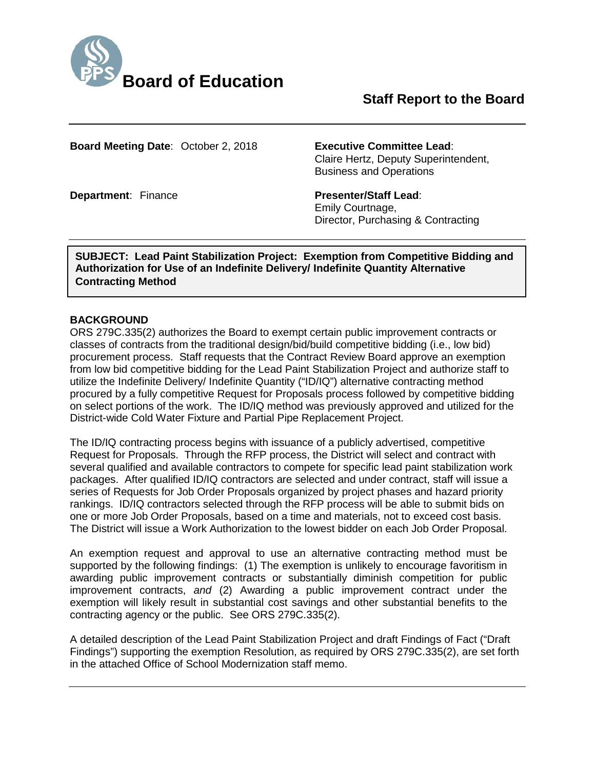

# **Staff Report to the Board**

**Board Meeting Date**: October 2, 2018 **Executive Committee Lead**:

Claire Hertz, Deputy Superintendent,

**Department: Finance <b>Presenter/Staff Lead:** 

Emily Courtnage,

Business and Operations

Director, Purchasing & Contracting

**SUBJECT: Lead Paint Stabilization Project: Exemption from Competitive Bidding and Authorization for Use of an Indefinite Delivery/ Indefinite Quantity Alternative Contracting Method**

#### **BACKGROUND**

ORS 279C.335(2) authorizes the Board to exempt certain public improvement contracts or classes of contracts from the traditional design/bid/build competitive bidding (i.e., low bid) procurement process. Staff requests that the Contract Review Board approve an exemption from low bid competitive bidding for the Lead Paint Stabilization Project and authorize staff to utilize the Indefinite Delivery/ Indefinite Quantity ("ID/IQ") alternative contracting method procured by a fully competitive Request for Proposals process followed by competitive bidding on select portions of the work. The ID/IQ method was previously approved and utilized for the District-wide Cold Water Fixture and Partial Pipe Replacement Project.

The ID/IQ contracting process begins with issuance of a publicly advertised, competitive Request for Proposals. Through the RFP process, the District will select and contract with several qualified and available contractors to compete for specific lead paint stabilization work packages. After qualified ID/IQ contractors are selected and under contract, staff will issue a series of Requests for Job Order Proposals organized by project phases and hazard priority rankings. ID/IQ contractors selected through the RFP process will be able to submit bids on one or more Job Order Proposals, based on a time and materials, not to exceed cost basis. The District will issue a Work Authorization to the lowest bidder on each Job Order Proposal.

An exemption request and approval to use an alternative contracting method must be supported by the following findings: (1) The exemption is unlikely to encourage favoritism in awarding public improvement contracts or substantially diminish competition for public improvement contracts, *and* (2) Awarding a public improvement contract under the exemption will likely result in substantial cost savings and other substantial benefits to the contracting agency or the public. See ORS 279C.335(2).

A detailed description of the Lead Paint Stabilization Project and draft Findings of Fact ("Draft Findings") supporting the exemption Resolution, as required by ORS 279C.335(2), are set forth in the attached Office of School Modernization staff memo.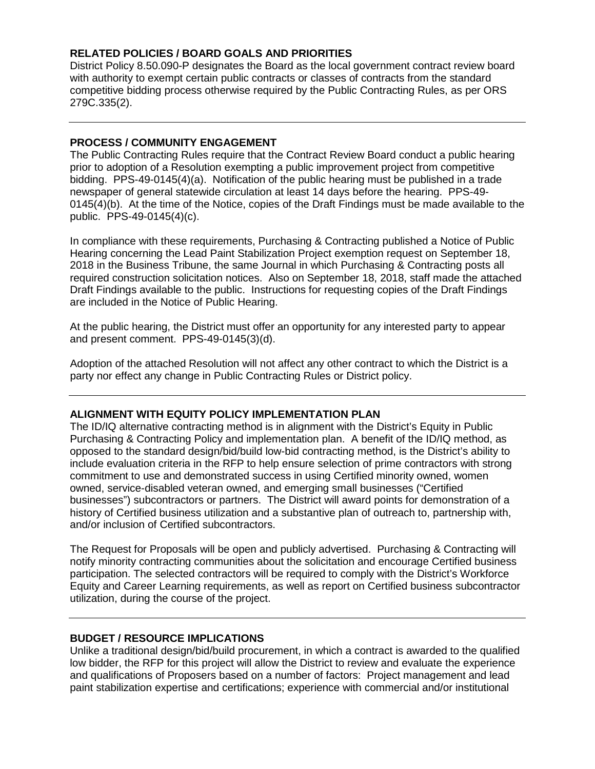### **RELATED POLICIES / BOARD GOALS AND PRIORITIES**

District Policy 8.50.090-P designates the Board as the local government contract review board with authority to exempt certain public contracts or classes of contracts from the standard competitive bidding process otherwise required by the Public Contracting Rules, as per ORS 279C.335(2).

#### **PROCESS / COMMUNITY ENGAGEMENT**

The Public Contracting Rules require that the Contract Review Board conduct a public hearing prior to adoption of a Resolution exempting a public improvement project from competitive bidding. PPS-49-0145(4)(a). Notification of the public hearing must be published in a trade newspaper of general statewide circulation at least 14 days before the hearing. PPS-49- 0145(4)(b). At the time of the Notice, copies of the Draft Findings must be made available to the public. PPS-49-0145(4)(c).

In compliance with these requirements, Purchasing & Contracting published a Notice of Public Hearing concerning the Lead Paint Stabilization Project exemption request on September 18, 2018 in the Business Tribune, the same Journal in which Purchasing & Contracting posts all required construction solicitation notices. Also on September 18, 2018, staff made the attached Draft Findings available to the public. Instructions for requesting copies of the Draft Findings are included in the Notice of Public Hearing.

At the public hearing, the District must offer an opportunity for any interested party to appear and present comment. PPS-49-0145(3)(d).

Adoption of the attached Resolution will not affect any other contract to which the District is a party nor effect any change in Public Contracting Rules or District policy.

#### **ALIGNMENT WITH EQUITY POLICY IMPLEMENTATION PLAN**

The ID/IQ alternative contracting method is in alignment with the District's Equity in Public Purchasing & Contracting Policy and implementation plan. A benefit of the ID/IQ method, as opposed to the standard design/bid/build low-bid contracting method, is the District's ability to include evaluation criteria in the RFP to help ensure selection of prime contractors with strong commitment to use and demonstrated success in using Certified minority owned, women owned, service-disabled veteran owned, and emerging small businesses ("Certified businesses") subcontractors or partners. The District will award points for demonstration of a history of Certified business utilization and a substantive plan of outreach to, partnership with, and/or inclusion of Certified subcontractors.

The Request for Proposals will be open and publicly advertised. Purchasing & Contracting will notify minority contracting communities about the solicitation and encourage Certified business participation. The selected contractors will be required to comply with the District's Workforce Equity and Career Learning requirements, as well as report on Certified business subcontractor utilization, during the course of the project.

#### **BUDGET / RESOURCE IMPLICATIONS**

Unlike a traditional design/bid/build procurement, in which a contract is awarded to the qualified low bidder, the RFP for this project will allow the District to review and evaluate the experience and qualifications of Proposers based on a number of factors: Project management and lead paint stabilization expertise and certifications; experience with commercial and/or institutional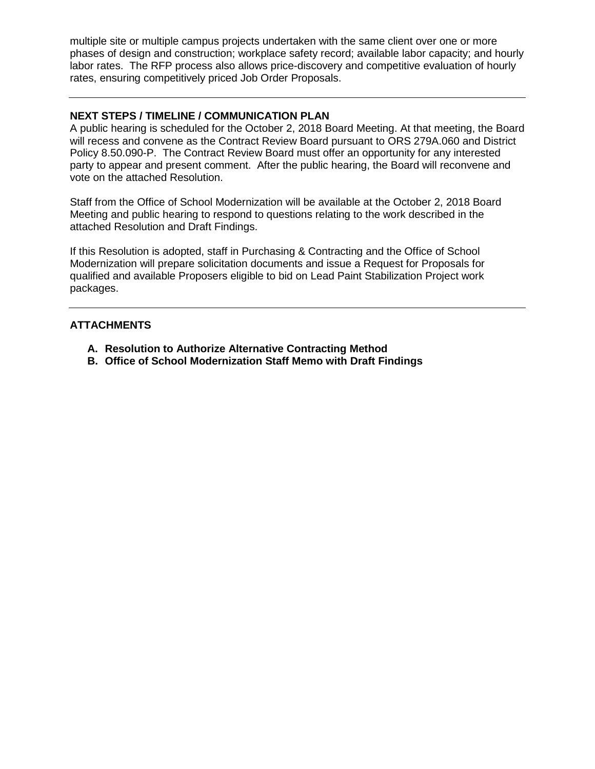multiple site or multiple campus projects undertaken with the same client over one or more phases of design and construction; workplace safety record; available labor capacity; and hourly labor rates. The RFP process also allows price-discovery and competitive evaluation of hourly rates, ensuring competitively priced Job Order Proposals.

#### **NEXT STEPS / TIMELINE / COMMUNICATION PLAN**

A public hearing is scheduled for the October 2, 2018 Board Meeting. At that meeting, the Board will recess and convene as the Contract Review Board pursuant to ORS 279A.060 and District Policy 8.50.090-P. The Contract Review Board must offer an opportunity for any interested party to appear and present comment. After the public hearing, the Board will reconvene and vote on the attached Resolution.

Staff from the Office of School Modernization will be available at the October 2, 2018 Board Meeting and public hearing to respond to questions relating to the work described in the attached Resolution and Draft Findings.

If this Resolution is adopted, staff in Purchasing & Contracting and the Office of School Modernization will prepare solicitation documents and issue a Request for Proposals for qualified and available Proposers eligible to bid on Lead Paint Stabilization Project work packages.

#### **ATTACHMENTS**

- **A. Resolution to Authorize Alternative Contracting Method**
- **B. Office of School Modernization Staff Memo with Draft Findings**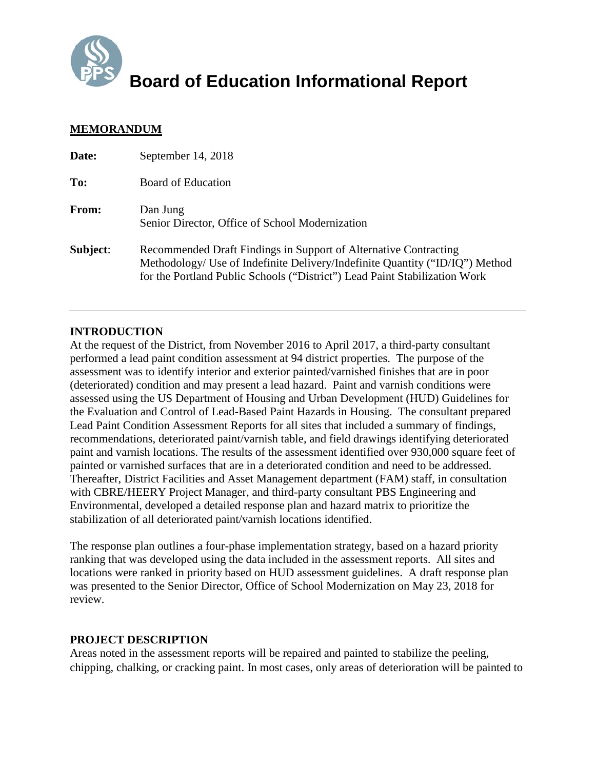

**Board of Education Informational Report**

### **MEMORANDUM**

| Date:    | September 14, 2018                                                                                                                                                                                                             |
|----------|--------------------------------------------------------------------------------------------------------------------------------------------------------------------------------------------------------------------------------|
| To:      | Board of Education                                                                                                                                                                                                             |
| From:    | Dan Jung<br>Senior Director, Office of School Modernization                                                                                                                                                                    |
| Subject: | Recommended Draft Findings in Support of Alternative Contracting<br>Methodology/ Use of Indefinite Delivery/Indefinite Quantity ("ID/IQ") Method<br>for the Portland Public Schools ("District") Lead Paint Stabilization Work |

### **INTRODUCTION**

At the request of the District, from November 2016 to April 2017, a third-party consultant performed a lead paint condition assessment at 94 district properties. The purpose of the assessment was to identify interior and exterior painted/varnished finishes that are in poor (deteriorated) condition and may present a lead hazard. Paint and varnish conditions were assessed using the US Department of Housing and Urban Development (HUD) Guidelines for the Evaluation and Control of Lead-Based Paint Hazards in Housing. The consultant prepared Lead Paint Condition Assessment Reports for all sites that included a summary of findings, recommendations, deteriorated paint/varnish table, and field drawings identifying deteriorated paint and varnish locations. The results of the assessment identified over 930,000 square feet of painted or varnished surfaces that are in a deteriorated condition and need to be addressed. Thereafter, District Facilities and Asset Management department (FAM) staff, in consultation with CBRE/HEERY Project Manager, and third-party consultant PBS Engineering and Environmental, developed a detailed response plan and hazard matrix to prioritize the stabilization of all deteriorated paint/varnish locations identified.

The response plan outlines a four-phase implementation strategy, based on a hazard priority ranking that was developed using the data included in the assessment reports. All sites and locations were ranked in priority based on HUD assessment guidelines. A draft response plan was presented to the Senior Director, Office of School Modernization on May 23, 2018 for review.

#### **PROJECT DESCRIPTION**

Areas noted in the assessment reports will be repaired and painted to stabilize the peeling, chipping, chalking, or cracking paint. In most cases, only areas of deterioration will be painted to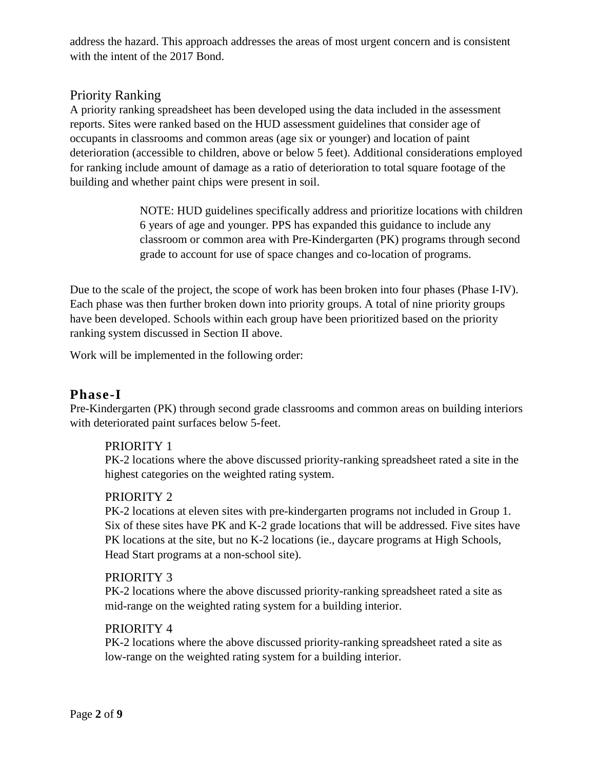address the hazard. This approach addresses the areas of most urgent concern and is consistent with the intent of the 2017 Bond.

# Priority Ranking

A priority ranking spreadsheet has been developed using the data included in the assessment reports. Sites were ranked based on the HUD assessment guidelines that consider age of occupants in classrooms and common areas (age six or younger) and location of paint deterioration (accessible to children, above or below 5 feet). Additional considerations employed for ranking include amount of damage as a ratio of deterioration to total square footage of the building and whether paint chips were present in soil.

> NOTE: HUD guidelines specifically address and prioritize locations with children 6 years of age and younger. PPS has expanded this guidance to include any classroom or common area with Pre-Kindergarten (PK) programs through second grade to account for use of space changes and co-location of programs.

Due to the scale of the project, the scope of work has been broken into four phases (Phase I-IV). Each phase was then further broken down into priority groups. A total of nine priority groups have been developed. Schools within each group have been prioritized based on the priority ranking system discussed in Section II above.

Work will be implemented in the following order:

# **Phase-I**

Pre-Kindergarten (PK) through second grade classrooms and common areas on building interiors with deteriorated paint surfaces below 5-feet.

## PRIORITY 1

PK-2 locations where the above discussed priority-ranking spreadsheet rated a site in the highest categories on the weighted rating system.

## PRIORITY 2

PK-2 locations at eleven sites with pre-kindergarten programs not included in Group 1. Six of these sites have PK and K-2 grade locations that will be addressed. Five sites have PK locations at the site, but no K-2 locations (ie., daycare programs at High Schools, Head Start programs at a non-school site).

## PRIORITY 3

PK-2 locations where the above discussed priority-ranking spreadsheet rated a site as mid-range on the weighted rating system for a building interior.

### PRIORITY 4

PK-2 locations where the above discussed priority-ranking spreadsheet rated a site as low-range on the weighted rating system for a building interior.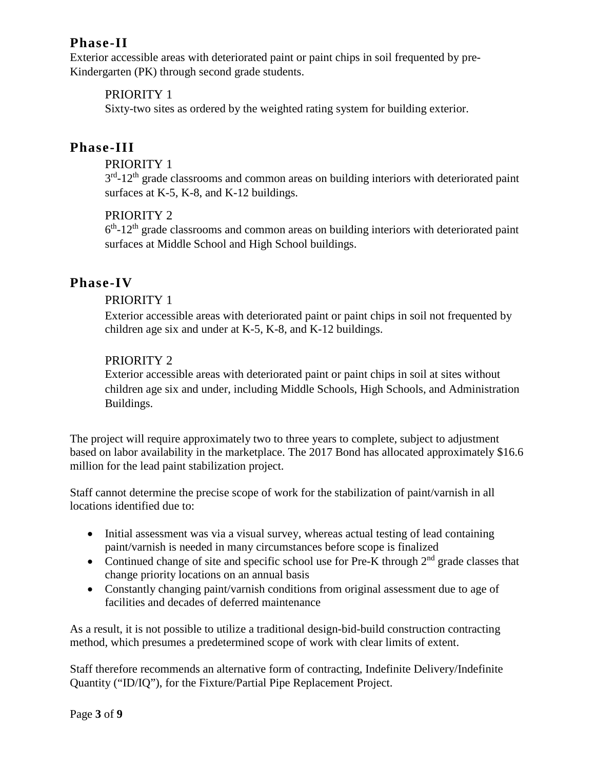# **Phase-II**

Exterior accessible areas with deteriorated paint or paint chips in soil frequented by pre-Kindergarten (PK) through second grade students.

## PRIORITY 1

Sixty-two sites as ordered by the weighted rating system for building exterior.

# **Phase-III**

### PRIORITY 1

 $3<sup>rd</sup>$ -12<sup>th</sup> grade classrooms and common areas on building interiors with deteriorated paint surfaces at K-5, K-8, and K-12 buildings.

## PRIORITY 2

 $6<sup>th</sup>$ -12<sup>th</sup> grade classrooms and common areas on building interiors with deteriorated paint surfaces at Middle School and High School buildings.

# **Phase-IV**

### PRIORITY 1

Exterior accessible areas with deteriorated paint or paint chips in soil not frequented by children age six and under at K-5, K-8, and K-12 buildings.

## PRIORITY 2

Exterior accessible areas with deteriorated paint or paint chips in soil at sites without children age six and under, including Middle Schools, High Schools, and Administration Buildings.

The project will require approximately two to three years to complete, subject to adjustment based on labor availability in the marketplace. The 2017 Bond has allocated approximately \$16.6 million for the lead paint stabilization project.

Staff cannot determine the precise scope of work for the stabilization of paint/varnish in all locations identified due to:

- Initial assessment was via a visual survey, whereas actual testing of lead containing paint/varnish is needed in many circumstances before scope is finalized
- Continued change of site and specific school use for Pre-K through  $2<sup>nd</sup>$  grade classes that change priority locations on an annual basis
- Constantly changing paint/varnish conditions from original assessment due to age of facilities and decades of deferred maintenance

As a result, it is not possible to utilize a traditional design-bid-build construction contracting method, which presumes a predetermined scope of work with clear limits of extent.

Staff therefore recommends an alternative form of contracting, Indefinite Delivery/Indefinite Quantity ("ID/IQ"), for the Fixture/Partial Pipe Replacement Project.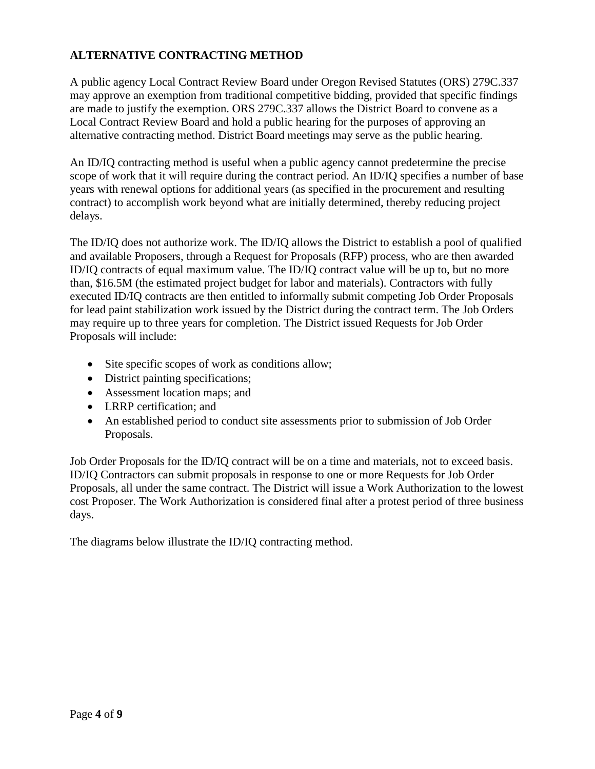## **ALTERNATIVE CONTRACTING METHOD**

A public agency Local Contract Review Board under Oregon Revised Statutes (ORS) 279C.337 may approve an exemption from traditional competitive bidding, provided that specific findings are made to justify the exemption. ORS 279C.337 allows the District Board to convene as a Local Contract Review Board and hold a public hearing for the purposes of approving an alternative contracting method. District Board meetings may serve as the public hearing.

An ID/IQ contracting method is useful when a public agency cannot predetermine the precise scope of work that it will require during the contract period. An ID/IQ specifies a number of base years with renewal options for additional years (as specified in the procurement and resulting contract) to accomplish work beyond what are initially determined, thereby reducing project delays.

The ID/IQ does not authorize work. The ID/IQ allows the District to establish a pool of qualified and available Proposers, through a Request for Proposals (RFP) process, who are then awarded ID/IQ contracts of equal maximum value. The ID/IQ contract value will be up to, but no more than, \$16.5M (the estimated project budget for labor and materials). Contractors with fully executed ID/IQ contracts are then entitled to informally submit competing Job Order Proposals for lead paint stabilization work issued by the District during the contract term. The Job Orders may require up to three years for completion. The District issued Requests for Job Order Proposals will include:

- Site specific scopes of work as conditions allow;
- District painting specifications;
- Assessment location maps; and
- LRRP certification: and
- An established period to conduct site assessments prior to submission of Job Order Proposals.

Job Order Proposals for the ID/IQ contract will be on a time and materials, not to exceed basis. ID/IQ Contractors can submit proposals in response to one or more Requests for Job Order Proposals, all under the same contract. The District will issue a Work Authorization to the lowest cost Proposer. The Work Authorization is considered final after a protest period of three business days.

The diagrams below illustrate the ID/IQ contracting method.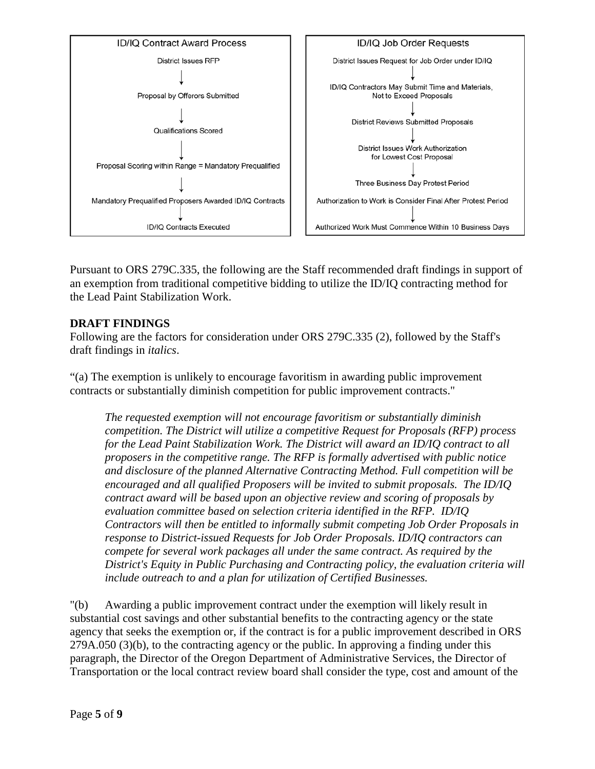

Pursuant to ORS 279C.335, the following are the Staff recommended draft findings in support of an exemption from traditional competitive bidding to utilize the ID/IQ contracting method for the Lead Paint Stabilization Work.

## **DRAFT FINDINGS**

Following are the factors for consideration under ORS 279C.335 (2), followed by the Staff's draft findings in *italics*.

"(a) The exemption is unlikely to encourage favoritism in awarding public improvement contracts or substantially diminish competition for public improvement contracts."

*The requested exemption will not encourage favoritism or substantially diminish competition. The District will utilize a competitive Request for Proposals (RFP) process for the Lead Paint Stabilization Work. The District will award an ID/IQ contract to all proposers in the competitive range. The RFP is formally advertised with public notice and disclosure of the planned Alternative Contracting Method. Full competition will be encouraged and all qualified Proposers will be invited to submit proposals. The ID/IQ contract award will be based upon an objective review and scoring of proposals by evaluation committee based on selection criteria identified in the RFP. ID/IQ Contractors will then be entitled to informally submit competing Job Order Proposals in response to District-issued Requests for Job Order Proposals. ID/IQ contractors can compete for several work packages all under the same contract. As required by the District's Equity in Public Purchasing and Contracting policy, the evaluation criteria will include outreach to and a plan for utilization of Certified Businesses.*

"(b) Awarding a public improvement contract under the exemption will likely result in substantial cost savings and other substantial benefits to the contracting agency or the state agency that seeks the exemption or, if the contract is for a public improvement described in ORS 279A.050 (3)(b), to the contracting agency or the public. In approving a finding under this paragraph, the Director of the Oregon Department of Administrative Services, the Director of Transportation or the local contract review board shall consider the type, cost and amount of the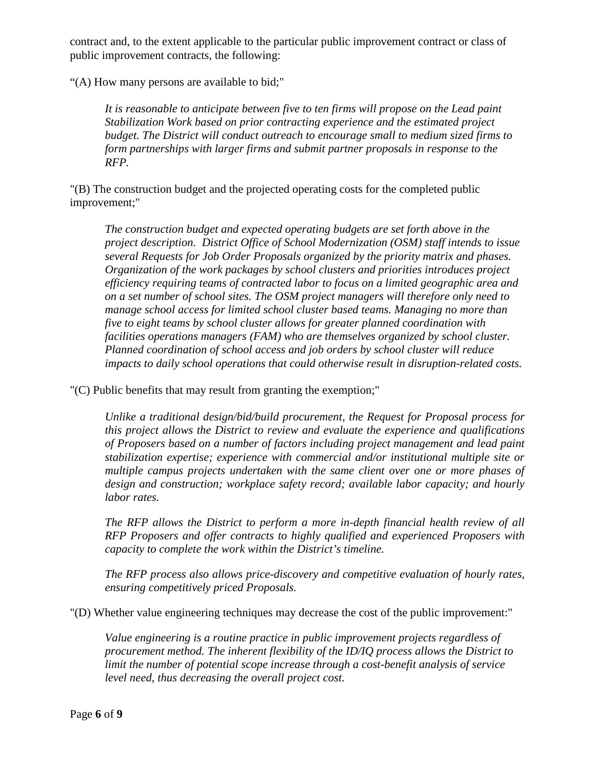contract and, to the extent applicable to the particular public improvement contract or class of public improvement contracts, the following:

"(A) How many persons are available to bid;"

*It is reasonable to anticipate between five to ten firms will propose on the Lead paint Stabilization Work based on prior contracting experience and the estimated project budget. The District will conduct outreach to encourage small to medium sized firms to form partnerships with larger firms and submit partner proposals in response to the RFP.* 

"(B) The construction budget and the projected operating costs for the completed public improvement;"

*The construction budget and expected operating budgets are set forth above in the project description. District Office of School Modernization (OSM) staff intends to issue several Requests for Job Order Proposals organized by the priority matrix and phases. Organization of the work packages by school clusters and priorities introduces project efficiency requiring teams of contracted labor to focus on a limited geographic area and on a set number of school sites. The OSM project managers will therefore only need to manage school access for limited school cluster based teams. Managing no more than five to eight teams by school cluster allows for greater planned coordination with facilities operations managers (FAM) who are themselves organized by school cluster. Planned coordination of school access and job orders by school cluster will reduce impacts to daily school operations that could otherwise result in disruption-related costs.*

"(C) Public benefits that may result from granting the exemption;"

*Unlike a traditional design/bid/build procurement, the Request for Proposal process for this project allows the District to review and evaluate the experience and qualifications of Proposers based on a number of factors including project management and lead paint stabilization expertise; experience with commercial and/or institutional multiple site or multiple campus projects undertaken with the same client over one or more phases of design and construction; workplace safety record; available labor capacity; and hourly labor rates.*

*The RFP allows the District to perform a more in-depth financial health review of all RFP Proposers and offer contracts to highly qualified and experienced Proposers with capacity to complete the work within the District's timeline.* 

*The RFP process also allows price-discovery and competitive evaluation of hourly rates, ensuring competitively priced Proposals.*

"(D) Whether value engineering techniques may decrease the cost of the public improvement:"

*Value engineering is a routine practice in public improvement projects regardless of procurement method. The inherent flexibility of the ID/IQ process allows the District to limit the number of potential scope increase through a cost-benefit analysis of service level need, thus decreasing the overall project cost.*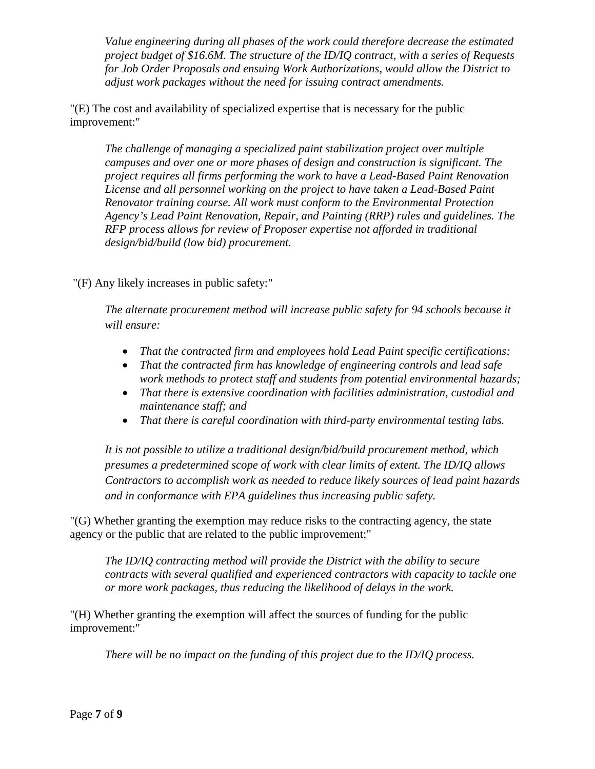*Value engineering during all phases of the work could therefore decrease the estimated project budget of \$16.6M. The structure of the ID/IQ contract, with a series of Requests for Job Order Proposals and ensuing Work Authorizations, would allow the District to adjust work packages without the need for issuing contract amendments.*

"(E) The cost and availability of specialized expertise that is necessary for the public improvement:"

*The challenge of managing a specialized paint stabilization project over multiple campuses and over one or more phases of design and construction is significant. The project requires all firms performing the work to have a Lead-Based Paint Renovation License and all personnel working on the project to have taken a Lead-Based Paint Renovator training course. All work must conform to the Environmental Protection Agency's Lead Paint Renovation, Repair, and Painting (RRP) rules and guidelines. The RFP process allows for review of Proposer expertise not afforded in traditional design/bid/build (low bid) procurement.* 

"(F) Any likely increases in public safety:"

*The alternate procurement method will increase public safety for 94 schools because it will ensure:*

- *That the contracted firm and employees hold Lead Paint specific certifications;*
- *That the contracted firm has knowledge of engineering controls and lead safe work methods to protect staff and students from potential environmental hazards;*
- *That there is extensive coordination with facilities administration, custodial and maintenance staff; and*
- *That there is careful coordination with third-party environmental testing labs.*

*It is not possible to utilize a traditional design/bid/build procurement method, which presumes a predetermined scope of work with clear limits of extent. The ID/IQ allows Contractors to accomplish work as needed to reduce likely sources of lead paint hazards and in conformance with EPA guidelines thus increasing public safety.*

"(G) Whether granting the exemption may reduce risks to the contracting agency, the state agency or the public that are related to the public improvement;"

*The ID/IQ contracting method will provide the District with the ability to secure contracts with several qualified and experienced contractors with capacity to tackle one or more work packages, thus reducing the likelihood of delays in the work.*

"(H) Whether granting the exemption will affect the sources of funding for the public improvement:"

*There will be no impact on the funding of this project due to the ID/IQ process.*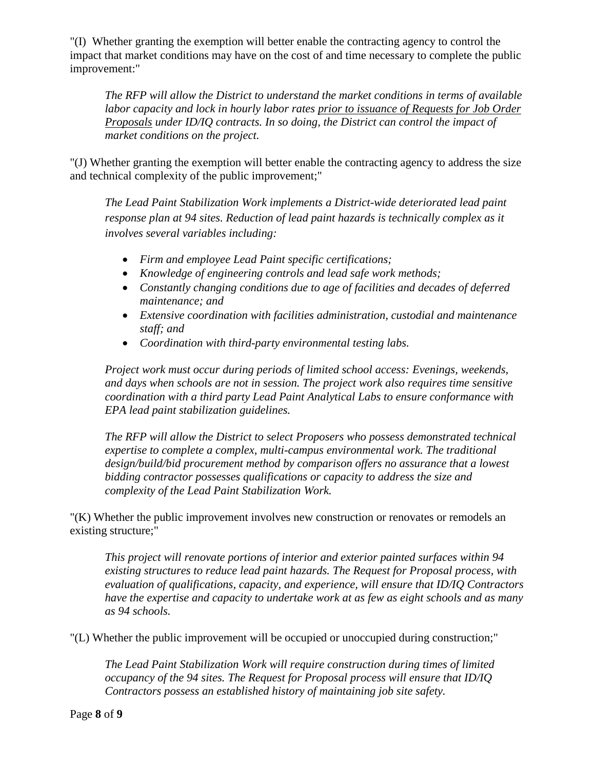"(I) Whether granting the exemption will better enable the contracting agency to control the impact that market conditions may have on the cost of and time necessary to complete the public improvement:"

*The RFP will allow the District to understand the market conditions in terms of available labor capacity and lock in hourly labor rates prior to issuance of Requests for Job Order Proposals under ID/IQ contracts. In so doing, the District can control the impact of market conditions on the project.*

"(J) Whether granting the exemption will better enable the contracting agency to address the size and technical complexity of the public improvement;"

*The Lead Paint Stabilization Work implements a District-wide deteriorated lead paint response plan at 94 sites. Reduction of lead paint hazards is technically complex as it involves several variables including:*

- *Firm and employee Lead Paint specific certifications;*
- *Knowledge of engineering controls and lead safe work methods;*
- *Constantly changing conditions due to age of facilities and decades of deferred maintenance; and*
- *Extensive coordination with facilities administration, custodial and maintenance staff; and*
- *Coordination with third-party environmental testing labs.*

*Project work must occur during periods of limited school access: Evenings, weekends, and days when schools are not in session. The project work also requires time sensitive coordination with a third party Lead Paint Analytical Labs to ensure conformance with EPA lead paint stabilization guidelines.* 

*The RFP will allow the District to select Proposers who possess demonstrated technical expertise to complete a complex, multi-campus environmental work. The traditional design/build/bid procurement method by comparison offers no assurance that a lowest bidding contractor possesses qualifications or capacity to address the size and complexity of the Lead Paint Stabilization Work.* 

"(K) Whether the public improvement involves new construction or renovates or remodels an existing structure;"

*This project will renovate portions of interior and exterior painted surfaces within 94 existing structures to reduce lead paint hazards. The Request for Proposal process, with evaluation of qualifications, capacity, and experience, will ensure that ID/IQ Contractors have the expertise and capacity to undertake work at as few as eight schools and as many as 94 schools.*

"(L) Whether the public improvement will be occupied or unoccupied during construction;"

*The Lead Paint Stabilization Work will require construction during times of limited occupancy of the 94 sites. The Request for Proposal process will ensure that ID/IQ Contractors possess an established history of maintaining job site safety.*